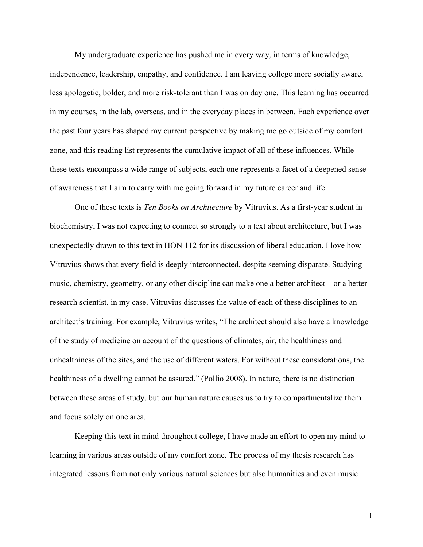My undergraduate experience has pushed me in every way, in terms of knowledge, independence, leadership, empathy, and confidence. I am leaving college more socially aware, less apologetic, bolder, and more risk-tolerant than I was on day one. This learning has occurred in my courses, in the lab, overseas, and in the everyday places in between. Each experience over the past four years has shaped my current perspective by making me go outside of my comfort zone, and this reading list represents the cumulative impact of all of these influences. While these texts encompass a wide range of subjects, each one represents a facet of a deepened sense of awareness that I aim to carry with me going forward in my future career and life.

One of these texts is *Ten Books on Architecture* by Vitruvius. As a first-year student in biochemistry, I was not expecting to connect so strongly to a text about architecture, but I was unexpectedly drawn to this text in HON 112 for its discussion of liberal education. I love how Vitruvius shows that every field is deeply interconnected, despite seeming disparate. Studying music, chemistry, geometry, or any other discipline can make one a better architect—or a better research scientist, in my case. Vitruvius discusses the value of each of these disciplines to an architect's training. For example, Vitruvius writes, "The architect should also have a knowledge of the study of medicine on account of the questions of climates, air, the healthiness and unhealthiness of the sites, and the use of different waters. For without these considerations, the healthiness of a dwelling cannot be assured." (Pollio 2008). In nature, there is no distinction between these areas of study, but our human nature causes us to try to compartmentalize them and focus solely on one area.

Keeping this text in mind throughout college, I have made an effort to open my mind to learning in various areas outside of my comfort zone. The process of my thesis research has integrated lessons from not only various natural sciences but also humanities and even music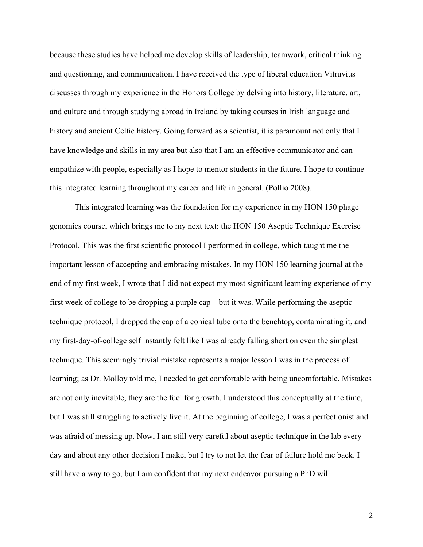because these studies have helped me develop skills of leadership, teamwork, critical thinking and questioning, and communication. I have received the type of liberal education Vitruvius discusses through my experience in the Honors College by delving into history, literature, art, and culture and through studying abroad in Ireland by taking courses in Irish language and history and ancient Celtic history. Going forward as a scientist, it is paramount not only that I have knowledge and skills in my area but also that I am an effective communicator and can empathize with people, especially as I hope to mentor students in the future. I hope to continue this integrated learning throughout my career and life in general. (Pollio 2008).

This integrated learning was the foundation for my experience in my HON 150 phage genomics course, which brings me to my next text: the HON 150 Aseptic Technique Exercise Protocol. This was the first scientific protocol I performed in college, which taught me the important lesson of accepting and embracing mistakes. In my HON 150 learning journal at the end of my first week, I wrote that I did not expect my most significant learning experience of my first week of college to be dropping a purple cap—but it was. While performing the aseptic technique protocol, I dropped the cap of a conical tube onto the benchtop, contaminating it, and my first-day-of-college self instantly felt like I was already falling short on even the simplest technique. This seemingly trivial mistake represents a major lesson I was in the process of learning; as Dr. Molloy told me, I needed to get comfortable with being uncomfortable. Mistakes are not only inevitable; they are the fuel for growth. I understood this conceptually at the time, but I was still struggling to actively live it. At the beginning of college, I was a perfectionist and was afraid of messing up. Now, I am still very careful about aseptic technique in the lab every day and about any other decision I make, but I try to not let the fear of failure hold me back. I still have a way to go, but I am confident that my next endeavor pursuing a PhD will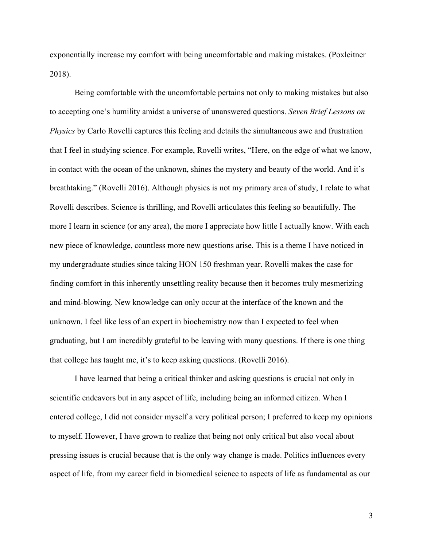exponentially increase my comfort with being uncomfortable and making mistakes. (Poxleitner 2018).

Being comfortable with the uncomfortable pertains not only to making mistakes but also to accepting one's humility amidst a universe of unanswered questions. *Seven Brief Lessons on Physics* by Carlo Rovelli captures this feeling and details the simultaneous awe and frustration that I feel in studying science. For example, Rovelli writes, "Here, on the edge of what we know, in contact with the ocean of the unknown, shines the mystery and beauty of the world. And it's breathtaking." (Rovelli 2016). Although physics is not my primary area of study, I relate to what Rovelli describes. Science is thrilling, and Rovelli articulates this feeling so beautifully. The more I learn in science (or any area), the more I appreciate how little I actually know. With each new piece of knowledge, countless more new questions arise. This is a theme I have noticed in my undergraduate studies since taking HON 150 freshman year. Rovelli makes the case for finding comfort in this inherently unsettling reality because then it becomes truly mesmerizing and mind-blowing. New knowledge can only occur at the interface of the known and the unknown. I feel like less of an expert in biochemistry now than I expected to feel when graduating, but I am incredibly grateful to be leaving with many questions. If there is one thing that college has taught me, it's to keep asking questions. (Rovelli 2016).

I have learned that being a critical thinker and asking questions is crucial not only in scientific endeavors but in any aspect of life, including being an informed citizen. When I entered college, I did not consider myself a very political person; I preferred to keep my opinions to myself. However, I have grown to realize that being not only critical but also vocal about pressing issues is crucial because that is the only way change is made. Politics influences every aspect of life, from my career field in biomedical science to aspects of life as fundamental as our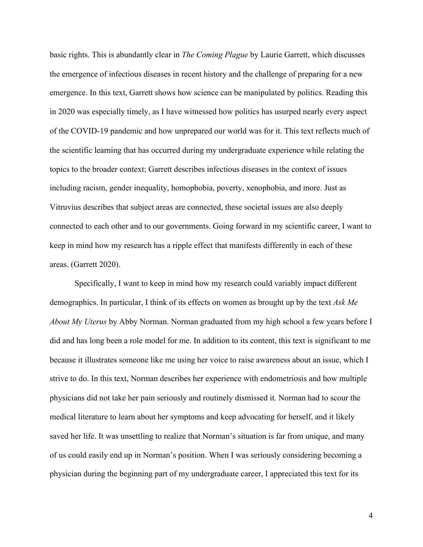basic rights. This is abundantly clear in *The Coming Plague* by Laurie Garrett, which discusses the emergence of infectious diseases in recent history and the challenge of preparing for a new emergence. In this text, Garrett shows how science can be manipulated by politics. Reading this in 2020 was especially timely, as I have witnessed how politics has usurped nearly every aspect of the COVID-19 pandemic and how unprepared our world was for it. This text reflects much of the scientific learning that has occurred during my undergraduate experience while relating the topics to the broader context; Garrett describes infectious diseases in the context of issues including racism, gender inequality, homophobia, poverty, xenophobia, and more. Just as Vitruvius describes that subject areas are connected, these societal issues are also deeply connected to each other and to our governments. Going forward in my scientific career, I want to keep in mind how my research has a ripple effect that manifests differently in each of these areas. (Garrett 2020).

Specifically, I want to keep in mind how my research could variably impact different demographics. In particular, I think of its effects on women as brought up by the text *Ask Me About My Uterus* by Abby Norman. Norman graduated from my high school a few years before I did and has long been a role model for me. In addition to its content, this text is significant to me because it illustrates someone like me using her voice to raise awareness about an issue, which I strive to do. In this text, Norman describes her experience with endometriosis and how multiple physicians did not take her pain seriously and routinely dismissed it. Norman had to scour the medical literature to learn about her symptoms and keep advocating for herself, and it likely saved her life. It was unsettling to realize that Norman's situation is far from unique, and many of us could easily end up in Norman's position. When I was seriously considering becoming a physician during the beginning part of my undergraduate career, I appreciated this text for its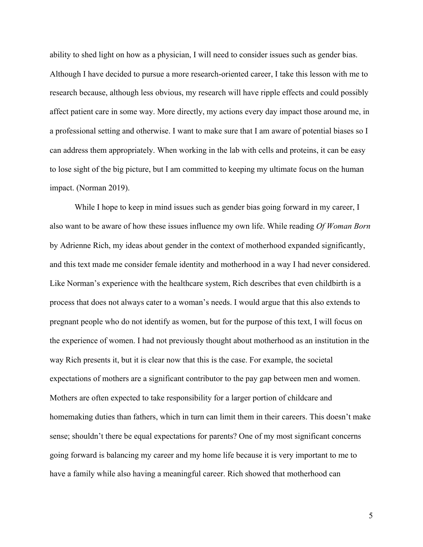ability to shed light on how as a physician, I will need to consider issues such as gender bias. Although I have decided to pursue a more research-oriented career, I take this lesson with me to research because, although less obvious, my research will have ripple effects and could possibly affect patient care in some way. More directly, my actions every day impact those around me, in a professional setting and otherwise. I want to make sure that I am aware of potential biases so I can address them appropriately. When working in the lab with cells and proteins, it can be easy to lose sight of the big picture, but I am committed to keeping my ultimate focus on the human impact. (Norman 2019).

While I hope to keep in mind issues such as gender bias going forward in my career, I also want to be aware of how these issues influence my own life. While reading *Of Woman Born* by Adrienne Rich, my ideas about gender in the context of motherhood expanded significantly, and this text made me consider female identity and motherhood in a way I had never considered. Like Norman's experience with the healthcare system, Rich describes that even childbirth is a process that does not always cater to a woman's needs. I would argue that this also extends to pregnant people who do not identify as women, but for the purpose of this text, I will focus on the experience of women. I had not previously thought about motherhood as an institution in the way Rich presents it, but it is clear now that this is the case. For example, the societal expectations of mothers are a significant contributor to the pay gap between men and women. Mothers are often expected to take responsibility for a larger portion of childcare and homemaking duties than fathers, which in turn can limit them in their careers. This doesn't make sense; shouldn't there be equal expectations for parents? One of my most significant concerns going forward is balancing my career and my home life because it is very important to me to have a family while also having a meaningful career. Rich showed that motherhood can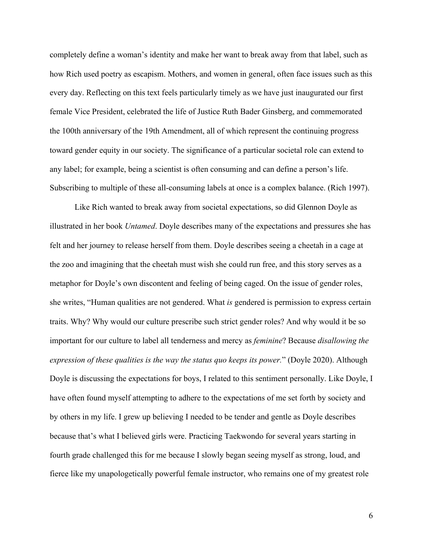completely define a woman's identity and make her want to break away from that label, such as how Rich used poetry as escapism. Mothers, and women in general, often face issues such as this every day. Reflecting on this text feels particularly timely as we have just inaugurated our first female Vice President, celebrated the life of Justice Ruth Bader Ginsberg, and commemorated the 100th anniversary of the 19th Amendment, all of which represent the continuing progress toward gender equity in our society. The significance of a particular societal role can extend to any label; for example, being a scientist is often consuming and can define a person's life. Subscribing to multiple of these all-consuming labels at once is a complex balance. (Rich 1997).

Like Rich wanted to break away from societal expectations, so did Glennon Doyle as illustrated in her book *Untamed*. Doyle describes many of the expectations and pressures she has felt and her journey to release herself from them. Doyle describes seeing a cheetah in a cage at the zoo and imagining that the cheetah must wish she could run free, and this story serves as a metaphor for Doyle's own discontent and feeling of being caged. On the issue of gender roles, she writes, "Human qualities are not gendered. What *is* gendered is permission to express certain traits. Why? Why would our culture prescribe such strict gender roles? And why would it be so important for our culture to label all tenderness and mercy as *feminine*? Because *disallowing the expression of these qualities is the way the status quo keeps its power.*" (Doyle 2020). Although Doyle is discussing the expectations for boys, I related to this sentiment personally. Like Doyle, I have often found myself attempting to adhere to the expectations of me set forth by society and by others in my life. I grew up believing I needed to be tender and gentle as Doyle describes because that's what I believed girls were. Practicing Taekwondo for several years starting in fourth grade challenged this for me because I slowly began seeing myself as strong, loud, and fierce like my unapologetically powerful female instructor, who remains one of my greatest role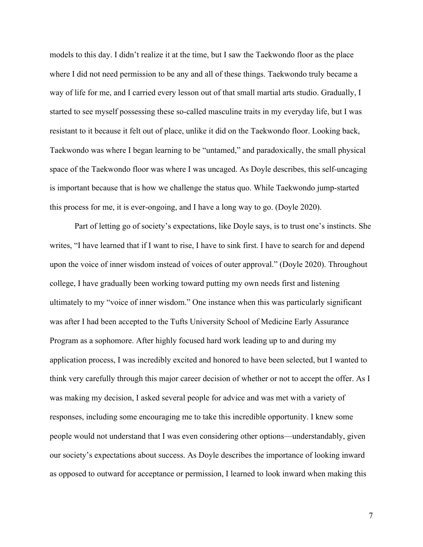models to this day. I didn't realize it at the time, but I saw the Taekwondo floor as the place where I did not need permission to be any and all of these things. Taekwondo truly became a way of life for me, and I carried every lesson out of that small martial arts studio. Gradually, I started to see myself possessing these so-called masculine traits in my everyday life, but I was resistant to it because it felt out of place, unlike it did on the Taekwondo floor. Looking back, Taekwondo was where I began learning to be "untamed," and paradoxically, the small physical space of the Taekwondo floor was where I was uncaged. As Doyle describes, this self-uncaging is important because that is how we challenge the status quo. While Taekwondo jump-started this process for me, it is ever-ongoing, and I have a long way to go. (Doyle 2020).

Part of letting go of society's expectations, like Doyle says, is to trust one's instincts. She writes, "I have learned that if I want to rise, I have to sink first. I have to search for and depend upon the voice of inner wisdom instead of voices of outer approval." (Doyle 2020). Throughout college, I have gradually been working toward putting my own needs first and listening ultimately to my "voice of inner wisdom." One instance when this was particularly significant was after I had been accepted to the Tufts University School of Medicine Early Assurance Program as a sophomore. After highly focused hard work leading up to and during my application process, I was incredibly excited and honored to have been selected, but I wanted to think very carefully through this major career decision of whether or not to accept the offer. As I was making my decision, I asked several people for advice and was met with a variety of responses, including some encouraging me to take this incredible opportunity. I knew some people would not understand that I was even considering other options—understandably, given our society's expectations about success. As Doyle describes the importance of looking inward as opposed to outward for acceptance or permission, I learned to look inward when making this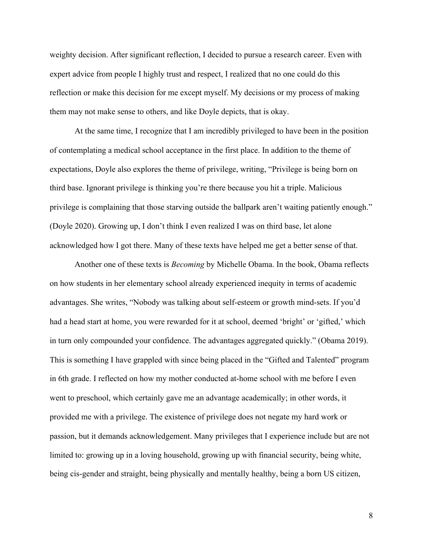weighty decision. After significant reflection, I decided to pursue a research career. Even with expert advice from people I highly trust and respect, I realized that no one could do this reflection or make this decision for me except myself. My decisions or my process of making them may not make sense to others, and like Doyle depicts, that is okay.

At the same time, I recognize that I am incredibly privileged to have been in the position of contemplating a medical school acceptance in the first place. In addition to the theme of expectations, Doyle also explores the theme of privilege, writing, "Privilege is being born on third base. Ignorant privilege is thinking you're there because you hit a triple. Malicious privilege is complaining that those starving outside the ballpark aren't waiting patiently enough." (Doyle 2020). Growing up, I don't think I even realized I was on third base, let alone acknowledged how I got there. Many of these texts have helped me get a better sense of that.

Another one of these texts is *Becoming* by Michelle Obama. In the book, Obama reflects on how students in her elementary school already experienced inequity in terms of academic advantages. She writes, "Nobody was talking about self-esteem or growth mind-sets. If you'd had a head start at home, you were rewarded for it at school, deemed 'bright' or 'gifted,' which in turn only compounded your confidence. The advantages aggregated quickly." (Obama 2019). This is something I have grappled with since being placed in the "Gifted and Talented" program in 6th grade. I reflected on how my mother conducted at-home school with me before I even went to preschool, which certainly gave me an advantage academically; in other words, it provided me with a privilege. The existence of privilege does not negate my hard work or passion, but it demands acknowledgement. Many privileges that I experience include but are not limited to: growing up in a loving household, growing up with financial security, being white, being cis-gender and straight, being physically and mentally healthy, being a born US citizen,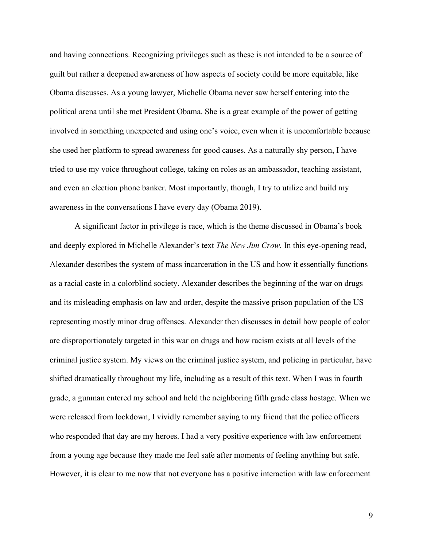and having connections. Recognizing privileges such as these is not intended to be a source of guilt but rather a deepened awareness of how aspects of society could be more equitable, like Obama discusses. As a young lawyer, Michelle Obama never saw herself entering into the political arena until she met President Obama. She is a great example of the power of getting involved in something unexpected and using one's voice, even when it is uncomfortable because she used her platform to spread awareness for good causes. As a naturally shy person, I have tried to use my voice throughout college, taking on roles as an ambassador, teaching assistant, and even an election phone banker. Most importantly, though, I try to utilize and build my awareness in the conversations I have every day (Obama 2019).

A significant factor in privilege is race, which is the theme discussed in Obama's book and deeply explored in Michelle Alexander's text *The New Jim Crow.* In this eye-opening read, Alexander describes the system of mass incarceration in the US and how it essentially functions as a racial caste in a colorblind society. Alexander describes the beginning of the war on drugs and its misleading emphasis on law and order, despite the massive prison population of the US representing mostly minor drug offenses. Alexander then discusses in detail how people of color are disproportionately targeted in this war on drugs and how racism exists at all levels of the criminal justice system. My views on the criminal justice system, and policing in particular, have shifted dramatically throughout my life, including as a result of this text. When I was in fourth grade, a gunman entered my school and held the neighboring fifth grade class hostage. When we were released from lockdown, I vividly remember saying to my friend that the police officers who responded that day are my heroes. I had a very positive experience with law enforcement from a young age because they made me feel safe after moments of feeling anything but safe. However, it is clear to me now that not everyone has a positive interaction with law enforcement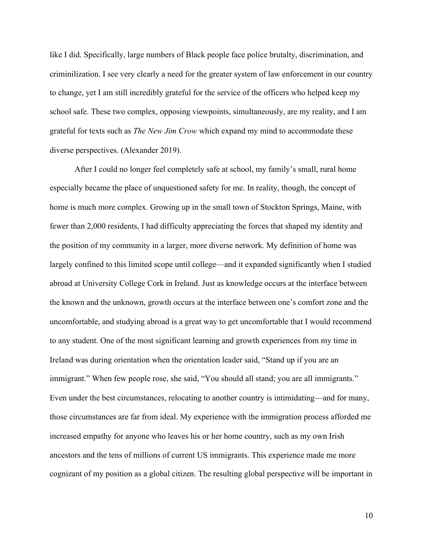like I did. Specifically, large numbers of Black people face police brutalty, discrimination, and criminilization. I see very clearly a need for the greater system of law enforcement in our country to change, yet I am still incredibly grateful for the service of the officers who helped keep my school safe. These two complex, opposing viewpoints, simultaneously, are my reality, and I am grateful for texts such as *The New Jim Crow* which expand my mind to accommodate these diverse perspectives. (Alexander 2019).

After I could no longer feel completely safe at school, my family's small, rural home especially became the place of unquestioned safety for me. In reality, though, the concept of home is much more complex. Growing up in the small town of Stockton Springs, Maine, with fewer than 2,000 residents, I had difficulty appreciating the forces that shaped my identity and the position of my community in a larger, more diverse network. My definition of home was largely confined to this limited scope until college—and it expanded significantly when I studied abroad at University College Cork in Ireland. Just as knowledge occurs at the interface between the known and the unknown, growth occurs at the interface between one's comfort zone and the uncomfortable, and studying abroad is a great way to get uncomfortable that I would recommend to any student. One of the most significant learning and growth experiences from my time in Ireland was during orientation when the orientation leader said, "Stand up if you are an immigrant." When few people rose, she said, "You should all stand; you are all immigrants." Even under the best circumstances, relocating to another country is intimidating—and for many, those circumstances are far from ideal. My experience with the immigration process afforded me increased empathy for anyone who leaves his or her home country, such as my own Irish ancestors and the tens of millions of current US immigrants. This experience made me more cognizant of my position as a global citizen. The resulting global perspective will be important in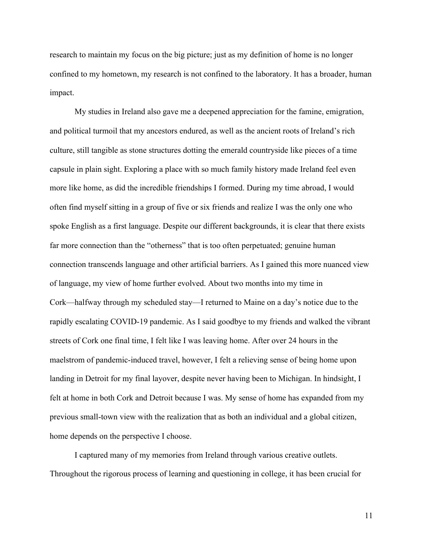research to maintain my focus on the big picture; just as my definition of home is no longer confined to my hometown, my research is not confined to the laboratory. It has a broader, human impact.

My studies in Ireland also gave me a deepened appreciation for the famine, emigration, and political turmoil that my ancestors endured, as well as the ancient roots of Ireland's rich culture, still tangible as stone structures dotting the emerald countryside like pieces of a time capsule in plain sight. Exploring a place with so much family history made Ireland feel even more like home, as did the incredible friendships I formed. During my time abroad, I would often find myself sitting in a group of five or six friends and realize I was the only one who spoke English as a first language. Despite our different backgrounds, it is clear that there exists far more connection than the "otherness" that is too often perpetuated; genuine human connection transcends language and other artificial barriers. As I gained this more nuanced view of language, my view of home further evolved. About two months into my time in Cork—halfway through my scheduled stay—I returned to Maine on a day's notice due to the rapidly escalating COVID-19 pandemic. As I said goodbye to my friends and walked the vibrant streets of Cork one final time, I felt like I was leaving home. After over 24 hours in the maelstrom of pandemic-induced travel, however, I felt a relieving sense of being home upon landing in Detroit for my final layover, despite never having been to Michigan. In hindsight, I felt at home in both Cork and Detroit because I was. My sense of home has expanded from my previous small-town view with the realization that as both an individual and a global citizen, home depends on the perspective I choose.

I captured many of my memories from Ireland through various creative outlets. Throughout the rigorous process of learning and questioning in college, it has been crucial for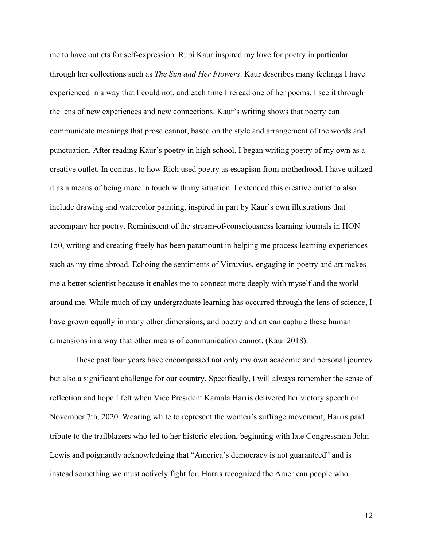me to have outlets for self-expression. Rupi Kaur inspired my love for poetry in particular through her collections such as *The Sun and Her Flowers*. Kaur describes many feelings I have experienced in a way that I could not, and each time I reread one of her poems, I see it through the lens of new experiences and new connections. Kaur's writing shows that poetry can communicate meanings that prose cannot, based on the style and arrangement of the words and punctuation. After reading Kaur's poetry in high school, I began writing poetry of my own as a creative outlet. In contrast to how Rich used poetry as escapism from motherhood, I have utilized it as a means of being more in touch with my situation. I extended this creative outlet to also include drawing and watercolor painting, inspired in part by Kaur's own illustrations that accompany her poetry. Reminiscent of the stream-of-consciousness learning journals in HON 150, writing and creating freely has been paramount in helping me process learning experiences such as my time abroad. Echoing the sentiments of Vitruvius, engaging in poetry and art makes me a better scientist because it enables me to connect more deeply with myself and the world around me. While much of my undergraduate learning has occurred through the lens of science, I have grown equally in many other dimensions, and poetry and art can capture these human dimensions in a way that other means of communication cannot. (Kaur 2018).

These past four years have encompassed not only my own academic and personal journey but also a significant challenge for our country. Specifically, I will always remember the sense of reflection and hope I felt when Vice President Kamala Harris delivered her victory speech on November 7th, 2020. Wearing white to represent the women's suffrage movement, Harris paid tribute to the trailblazers who led to her historic election, beginning with late Congressman John Lewis and poignantly acknowledging that "America's democracy is not guaranteed" and is instead something we must actively fight for. Harris recognized the American people who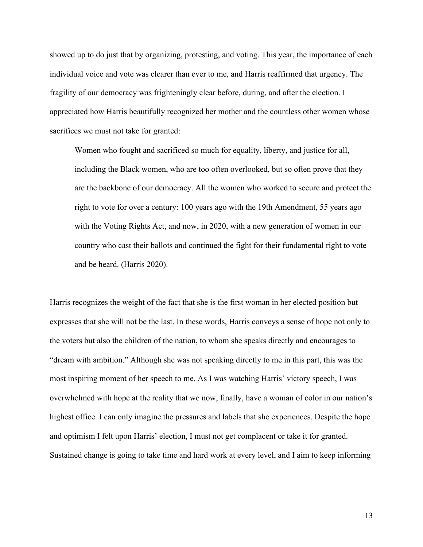showed up to do just that by organizing, protesting, and voting. This year, the importance of each individual voice and vote was clearer than ever to me, and Harris reaffirmed that urgency. The fragility of our democracy was frighteningly clear before, during, and after the election. I appreciated how Harris beautifully recognized her mother and the countless other women whose sacrifices we must not take for granted:

Women who fought and sacrificed so much for equality, liberty, and justice for all, including the Black women, who are too often overlooked, but so often prove that they are the backbone of our democracy. All the women who worked to secure and protect the right to vote for over a century: 100 years ago with the 19th Amendment, 55 years ago with the Voting Rights Act, and now, in 2020, with a new generation of women in our country who cast their ballots and continued the fight for their fundamental right to vote and be heard. (Harris 2020).

Harris recognizes the weight of the fact that she is the first woman in her elected position but expresses that she will not be the last. In these words, Harris conveys a sense of hope not only to the voters but also the children of the nation, to whom she speaks directly and encourages to "dream with ambition." Although she was not speaking directly to me in this part, this was the most inspiring moment of her speech to me. As I was watching Harris' victory speech, I was overwhelmed with hope at the reality that we now, finally, have a woman of color in our nation's highest office. I can only imagine the pressures and labels that she experiences. Despite the hope and optimism I felt upon Harris' election, I must not get complacent or take it for granted. Sustained change is going to take time and hard work at every level, and I aim to keep informing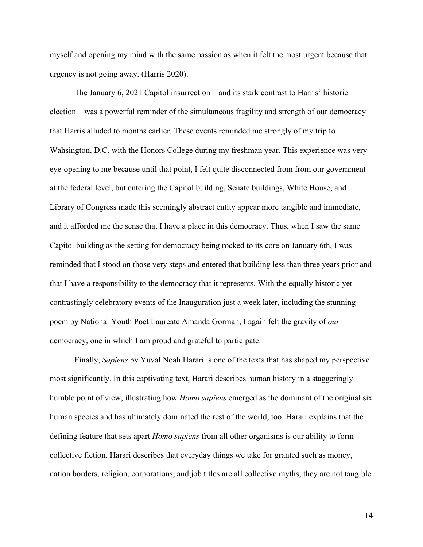myself and opening my mind with the same passion as when it felt the most urgent because that urgency is not going away. (Harris 2020).

The January 6, 2021 Capitol insurrection—and its stark contrast to Harris' historic election—was a powerful reminder of the simultaneous fragility and strength of our democracy that Harris alluded to months earlier. These events reminded me strongly of my trip to Wahsington, D.C. with the Honors College during my freshman year. This experience was very eye-opening to me because until that point, I felt quite disconnected from from our government at the federal level, but entering the Capitol building, Senate buildings, White House, and Library of Congress made this seemingly abstract entity appear more tangible and immediate, and it afforded me the sense that I have a place in this democracy. Thus, when I saw the same Capitol building as the setting for democracy being rocked to its core on January 6th, I was reminded that I stood on those very steps and entered that building less than three years prior and that I have a responsibility to the democracy that it represents. With the equally historic yet contrastingly celebratory events of the Inauguration just a week later, including the stunning poem by National Youth Poet Laureate Amanda Gorman, I again felt the gravity of *our* democracy, one in which I am proud and grateful to participate.

Finally, *Sapiens* by Yuval Noah Harari is one of the texts that has shaped my perspective most significantly. In this captivating text, Harari describes human history in a staggeringly humble point of view, illustrating how *Homo sapiens* emerged as the dominant of the original six human species and has ultimately dominated the rest of the world, too. Harari explains that the defining feature that sets apart *Homo sapiens* from all other organisms is our ability to form collective fiction. Harari describes that everyday things we take for granted such as money, nation borders, religion, corporations, and job titles are all collective myths; they are not tangible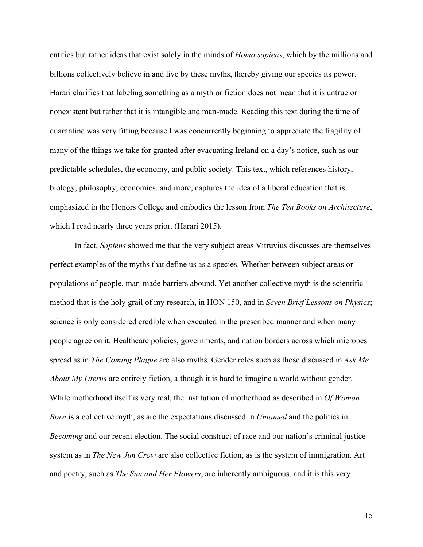entities but rather ideas that exist solely in the minds of *Homo sapiens*, which by the millions and billions collectively believe in and live by these myths, thereby giving our species its power. Harari clarifies that labeling something as a myth or fiction does not mean that it is untrue or nonexistent but rather that it is intangible and man-made. Reading this text during the time of quarantine was very fitting because I was concurrently beginning to appreciate the fragility of many of the things we take for granted after evacuating Ireland on a day's notice, such as our predictable schedules, the economy, and public society. This text, which references history, biology, philosophy, economics, and more, captures the idea of a liberal education that is emphasized in the Honors College and embodies the lesson from *The Ten Books on Architecture*, which I read nearly three years prior. (Harari 2015).

In fact, *Sapiens* showed me that the very subject areas Vitruvius discusses are themselves perfect examples of the myths that define us as a species. Whether between subject areas or populations of people, man-made barriers abound. Yet another collective myth is the scientific method that is the holy grail of my research, in HON 150, and in *Seven Brief Lessons on Physics*; science is only considered credible when executed in the prescribed manner and when many people agree on it. Healthcare policies, governments, and nation borders across which microbes spread as in *The Coming Plague* are also myths*.* Gender roles such as those discussed in *Ask Me About My Uterus* are entirely fiction, although it is hard to imagine a world without gender. While motherhood itself is very real, the institution of motherhood as described in *Of Woman Born* is a collective myth, as are the expectations discussed in *Untamed* and the politics in *Becoming* and our recent election. The social construct of race and our nation's criminal justice system as in *The New Jim Crow* are also collective fiction, as is the system of immigration. Art and poetry, such as *The Sun and Her Flowers*, are inherently ambiguous, and it is this very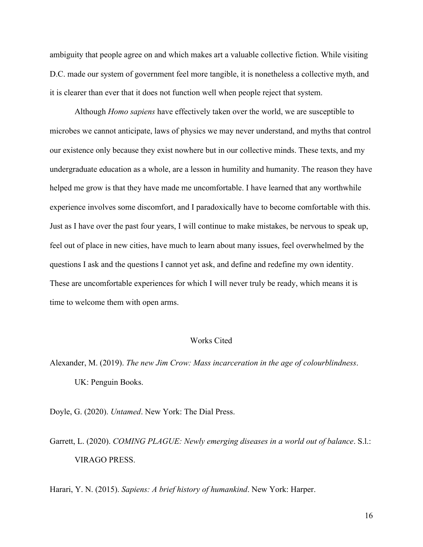ambiguity that people agree on and which makes art a valuable collective fiction. While visiting D.C. made our system of government feel more tangible, it is nonetheless a collective myth, and it is clearer than ever that it does not function well when people reject that system.

Although *Homo sapiens* have effectively taken over the world, we are susceptible to microbes we cannot anticipate, laws of physics we may never understand, and myths that control our existence only because they exist nowhere but in our collective minds. These texts, and my undergraduate education as a whole, are a lesson in humility and humanity. The reason they have helped me grow is that they have made me uncomfortable. I have learned that any worthwhile experience involves some discomfort, and I paradoxically have to become comfortable with this. Just as I have over the past four years, I will continue to make mistakes, be nervous to speak up, feel out of place in new cities, have much to learn about many issues, feel overwhelmed by the questions I ask and the questions I cannot yet ask, and define and redefine my own identity. These are uncomfortable experiences for which I will never truly be ready, which means it is time to welcome them with open arms.

## Works Cited

Alexander, M. (2019). *The new Jim Crow: Mass incarceration in the age of colourblindness*. UK: Penguin Books.

Doyle, G. (2020). *Untamed*. New York: The Dial Press.

Garrett, L. (2020). *COMING PLAGUE: Newly emerging diseases in a world out of balance*. S.l.: VIRAGO PRESS.

Harari, Y. N. (2015). *Sapiens: A brief history of humankind*. New York: Harper.